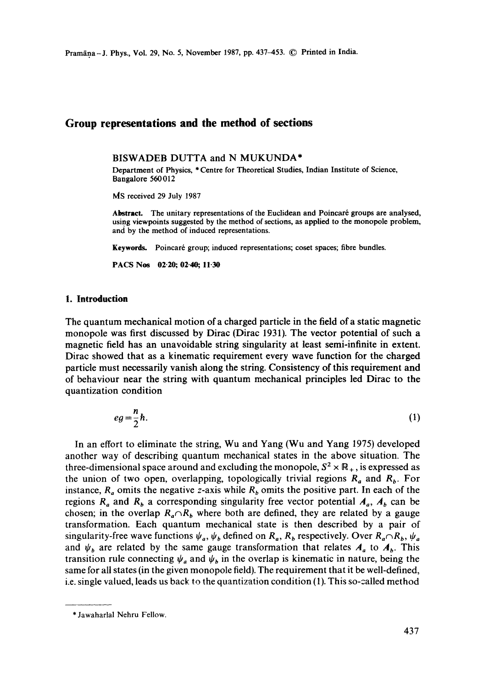# **Group representations and the method of sections**

BISWADEB DUTTA and N MUKUNDA\*

Department of Physics, \* Centre for Theoretical Studies, Indian Institute of Science, Bangalore 560012

MS received 29 July 1987

Abstract. The unitary representations of the Euclidean and Poincaré groups are analysed, using viewpoints suggested by the method of sections, as applied to the monopole problem, and by the method of induced representations.

Keywords. Poincaré group; induced representations; coset spaces; fibre bundles.

**PACS Nos 02-20; 02.40; 11-30** 

## **1. Introduction**

The quantum mechanical motion of a charged particle in the field of a static magnetic monopole was first discussed by Dirac (Dirac 1931). The vector potential of such a magnetic field has an unavoidable string singularity at least semi-infinite in extent. Dirac showed that as a kinematic requirement every wave function for the charged particle must necessarily vanish along the string. Consistency of this requirement and of behaviour near the string with quantum mechanical principles led Dirac to the quantization condition

$$
eg = \frac{n}{2}\hbar. \tag{1}
$$

In an effort to eliminate the string, Wu and Yang (Wu and Yang 1975) developed another way of describing quantum mechanical states in the above situation. The three-dimensional space around and excluding the monopole,  $S^2 \times \mathbb{R}_+$ , is expressed as the union of two open, overlapping, topologically trivial regions  $R_a$  and  $R_b$ . For instance,  $R_a$  omits the negative z-axis while  $R_b$  omits the positive part. In each of the regions  $R_a$  and  $R_b$  a corresponding singularity free vector potential  $A_a$ ,  $A_b$  can be chosen; in the overlap  $R_a \cap R_b$  where both are defined, they are related by a gauge transformation. Each quantum mechanical state is then described by a pair of singularity-free wave functions  $\psi_a$ ,  $\psi_b$  defined on  $R_a$ ,  $R_b$  respectively. Over  $R_a \cap R_b$ ,  $\psi_a$ and  $\psi_b$  are related by the same gauge transformation that relates  $A_a$  to  $A_b$ . This transition rule connecting  $\psi_a$  and  $\psi_b$  in the overlap is kinematic in nature, being the same for all states (in the given monopole field). The requirement that it be well-defined, i.e. single valued, leads us back to the quantization condition (1). This so-called method

<sup>\*</sup> Jawaharlal Nehru Fellow.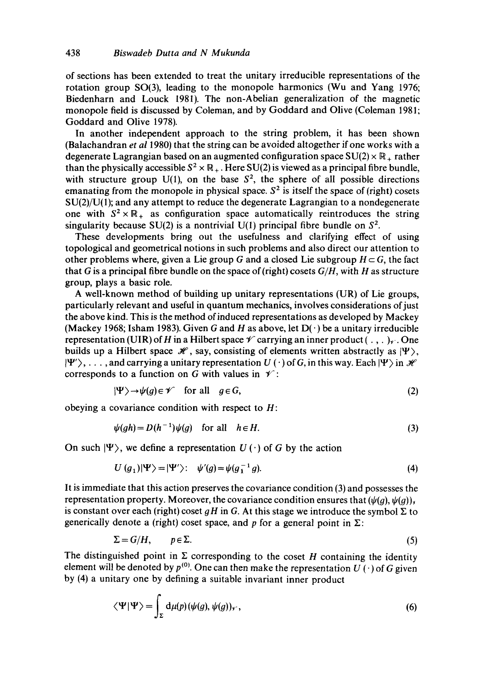of sections has been extended to treat the unitary irreducible representations of the rotation group SO(3), leading to the monopole harmonics (Wu and Yang 1976; Biedenharn and Louck 1981). The non-Abelian generalization of the magnetic monopole field is discussed by Coleman, and by Goddard and Olive (Coleman 1981; Goddard and Olive 1978).

In another independent approach to the string problem, it has been shown (Balachandran *et al* 1980) that the string can be avoided altogether if one works with a degenerate Lagrangian based on an augmented configuration space  $SU(2) \times \mathbb{R}_+$  rather than the physically accessible  $S^2 \times \mathbb{R}_+$ . Here SU(2) is viewed as a principal fibre bundle, with structure group U(1), on the base  $S^2$ , the sphere of all possible directions emanating from the monopole in physical space.  $S^2$  is itself the space of (right) cosets SU(2)/U(1); and any attempt to reduce the degenerate Lagrangian to a nondegenerate one with  $S^2 \times \mathbb{R}_+$  as configuration space automatically reintroduces the string singularity because SU(2) is a nontrivial U(1) principal fibre bundle on  $S^2$ .

These developments bring out the usefulness and clarifying effect of using topological and geometrical notions in such problems and also direct our attention to other problems where, given a Lie group G and a closed Lie subgroup  $H \subset G$ , the fact that G is a principal fibre bundle on the space of(right) cosets *G/H,* with H as structure group, plays a basic role.

A well-known method of building up unitary representations (UR) of Lie groups, particularly relevant and useful in quantum mechanics, involves considerations of just the above kind. This is the method of induced representations as developed by Mackey (Mackey 1968; Isham 1983). Given G and H as above, let  $D(\cdot)$  be a unitary irreducible representation (UIR) of H in a Hilbert space  $\mathscr V$  carrying an inner product  $(\ldots,\ldots)_\mathscr V$ . One builds up a Hilbert space  $\mathcal{H}$ , say, consisting of elements written abstractly as  $|\Psi\rangle$ ,  $|\Psi'\rangle, \ldots$ , and carrying a unitary representation  $U(\cdot)$  of G, in this way. Each  $|\Psi\rangle$  in  $\mathcal H$ corresponds to a function on G with values in  $\mathcal V$ :

$$
|\Psi\rangle \to \psi(g) \in \mathscr{V} \quad \text{for all} \quad g \in G,
$$
 (2)

obeying a covariance condition with respect to  $H$ :

$$
\psi(gh) = D(h^{-1})\psi(g) \quad \text{for all} \quad h \in H. \tag{3}
$$

On such  $|\Psi\rangle$ , we define a representation  $U(\cdot)$  of G by the action

$$
U(g_1)|\Psi\rangle = |\Psi'\rangle: \quad \psi'(g) = \psi(g_1^{-1}g). \tag{4}
$$

It is immediate that this action preserves the covariance condition (3) and possesses the representation property. Moreover, the covariance condition ensures that  $(\psi(g), \psi(g)),$ is constant over each (right) coset  $gH$  in G. At this stage we introduce the symbol  $\Sigma$  to generically denote a (right) coset space, and p for a general point in  $\Sigma$ :

$$
\Sigma = G/H, \qquad p \in \Sigma. \tag{5}
$$

The distinguished point in  $\Sigma$  corresponding to the coset H containing the identity element will be denoted by  $p^{(0)}$ . One can then make the representation  $U(\cdot)$  of G given by (4) a unitary one by defining a suitable invariant inner product

$$
\langle \Psi | \Psi \rangle = \int_{\Sigma} d\mu(p) (\psi(g), \psi(g))_{\gamma}, \qquad (6)
$$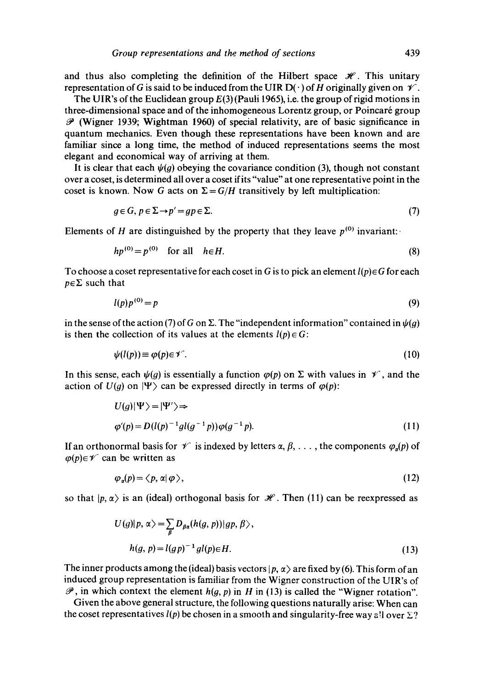and thus also completing the definition of the Hilbert space  $\mathcal{H}$ . This unitary representation of G is said to be induced from the UIR D( $\cdot$ ) of H originally given on  $\mathscr V$ .

The UIR's of the Euclidean group  $E(3)$  (Pauli 1965), i.e. the group of rigid motions in three-dimensional space and of the inhomogeneous Lorentz group, or Poincaré group  $\mathscr P$  (Wigner 1939; Wightman 1960) of special relativity, are of basic significance in quantum mechanics. Even though these representations have been known and are familiar since a long time, the method of induced representations seems the most elegant and economical way of arriving at them.

It is clear that each  $\psi(g)$  obeying the covariance condition (3), though not constant over a coset, is determined all over a coset if its "value" at one representative point in the coset is known. Now G acts on  $\Sigma = G/H$  transitively by left multiplication:

$$
g \in G, \, p \in \Sigma \to p' = gp \in \Sigma. \tag{7}
$$

Elements of H are distinguished by the property that they leave  $p^{(0)}$  invariant:

$$
hp^{(0)} = p^{(0)} \quad \text{for all} \quad h \in H. \tag{8}
$$

To choose a coset representative for each coset in G is to pick an element  $l(p) \in G$  for each  $p \in \Sigma$  such that

$$
l(p)p^{(0)} = p \tag{9}
$$

in the sense of the action (7) of G on  $\Sigma$ . The "independent information" contained in  $\psi(q)$ is then the collection of its values at the elements  $l(p) \in G$ :

$$
\psi(l(p)) \equiv \varphi(p) \in \mathscr{V}.
$$
\n(10)

In this sense, each  $\psi(g)$  is essentially a function  $\varphi(p)$  on  $\Sigma$  with values in  $\mathscr V$ , and the action of  $U(g)$  on  $|\Psi\rangle$  can be expressed directly in terms of  $\varphi(p)$ :

$$
U(g)|\Psi\rangle = |\Psi'\rangle \Rightarrow
$$
  
\n
$$
\varphi'(p) = D(l(p)^{-1}gl(g^{-1}p))\varphi(g^{-1}p).
$$
\n(11)

If an orthonormal basis for  $\mathcal V$  is indexed by letters  $\alpha, \beta, \ldots$ , the components  $\varphi_\alpha(p)$  of  $\varphi(p) \in \mathscr{V}$  can be written as

$$
\varphi_a(p) = \langle p, \alpha | \varphi \rangle, \tag{12}
$$

so that  $|p, \alpha\rangle$  is an (ideal) orthogonal basis for  $\mathcal{H}$ . Then (11) can be reexpressed as

$$
U(g)|p, \alpha\rangle = \sum_{\beta} D_{\beta\alpha}(h(g, p))|gp, \beta\rangle,
$$
  
 
$$
h(g, p) = l(gp)^{-1}gl(p)\in H.
$$
 (13)

The inner products among the (ideal) basis vectors  $|p, \alpha\rangle$  are fixed by (6). This form of an induced group representation is familiar from the Wigner construction of the UIR's of  $\mathscr{P}$ , in which context the element  $h(g, p)$  in H in (13) is called the "Wigner rotation".

Given the above general structure, the following questions naturally arise: When can the coset representatives  $l(p)$  be chosen in a smooth and singularity-free way all over  $\Sigma$ ?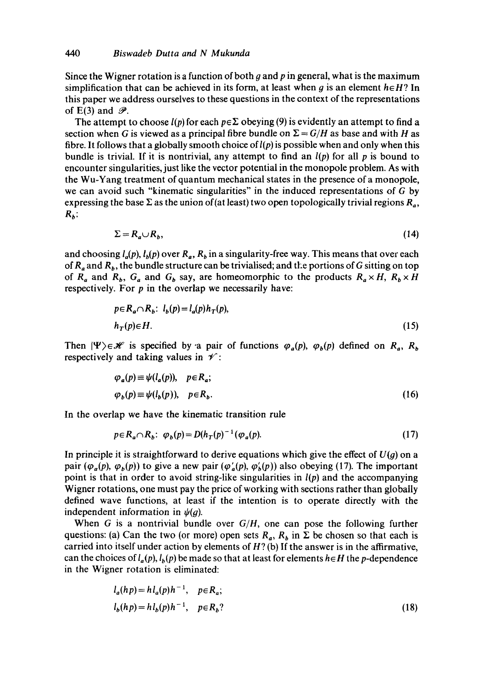Since the Wigner rotation is a function of both q and  $p$  in general, what is the maximum simplification that can be achieved in its form, at least when  $g$  is an element  $h \in H$ ? In this paper we address ourselves to these questions in the context of the representations of E(3) and  $\mathscr{P}$ .

The attempt to choose  $l(p)$  for each  $p \in \Sigma$  obeying (9) is evidently an attempt to find a section when G is viewed as a principal fibre bundle on  $\Sigma = G/H$  as base and with H as fibre. It follows that a globally smooth choice of  $l(p)$  is possible when and only when this bundle is trivial. If it is nontrivial, any attempt to find an  $l(p)$  for all p is bound to encounter singularities, just like the vector potential in the monopole problem. As with the Wu-Yang treatment of quantum mechanical states in the presence of a monopole, we can avoid such "kinematic singularities" in the induced representations of G by expressing the base  $\Sigma$  as the union of (at least) two open topologically trivial regions  $R_a$ ,  $R_h$ :

$$
\Sigma = R_a \cup R_b,\tag{14}
$$

and choosing  $l_a(p)$ ,  $l_b(p)$  over  $R_a$ ,  $R_b$  in a singularity-free way. This means that over each of  $R_a$  and  $R_b$ , the bundle structure can be trivialised; and the portions of G sitting on top of  $R_a$  and  $R_b$ ,  $G_a$  and  $G_b$  say, are homeomorphic to the products  $R_a \times H$ ,  $R_b \times H$ respectively. For  $p$  in the overlap we necessarily have:

$$
p \in R_a \cap R_b: l_b(p) = l_a(p)h_T(p),
$$
  
\n
$$
h_T(p) \in H.
$$
 (15)

Then  $|\Psi\rangle \in \mathcal{H}$  is specified by a pair of functions  $\varphi_a(p)$ ,  $\varphi_b(p)$  defined on  $R_a$ ,  $R_b$ respectively and taking values in  $\mathscr V$ :

$$
\varphi_a(p) \equiv \psi(l_a(p)), \quad p \in R_a; \n\varphi_b(p) \equiv \psi(l_b(p)), \quad p \in R_b.
$$
\n(16)

In the overlap we have the kinematic transition rule

$$
p \in R_a \cap R_b; \ \varphi_b(p) = D(h_T(p)^{-1} (\varphi_a(p)). \tag{17}
$$

In principle it is straightforward to derive equations which give the effect of *U(g)* on a pair ( $\varphi_a(p), \varphi_b(p)$ ) to give a new pair ( $\varphi'_a(p), \varphi'_b(p)$ ) also obeying (17). The important point is that in order to avoid string-like singularities in  $l(p)$  and the accompanying Wigner rotations, one must pay the price of working with sections rather than globally defined wave functions, at least if the intention is to operate directly with the independent information in  $\psi(g)$ .

When G is a nontrivial bundle over *G/H,* one can pose the following further questions: (a) Can the two (or more) open sets  $R_a$ ,  $R_b$  in  $\Sigma$  be chosen so that each is carried into itself under action by elements of  $H$ ? (b) If the answer is in the affirmative, can the choices of  $l_a(p)$ ,  $l_b(p)$  be made so that at least for elements  $h \in H$  the p-dependence in the Wigner rotation is eliminated:

$$
l_a(hp) = h l_a(p) h^{-1}, \quad p \in R_a;
$$
  
\n
$$
l_b(hp) = h l_b(p) h^{-1}, \quad p \in R_b?
$$
\n(18)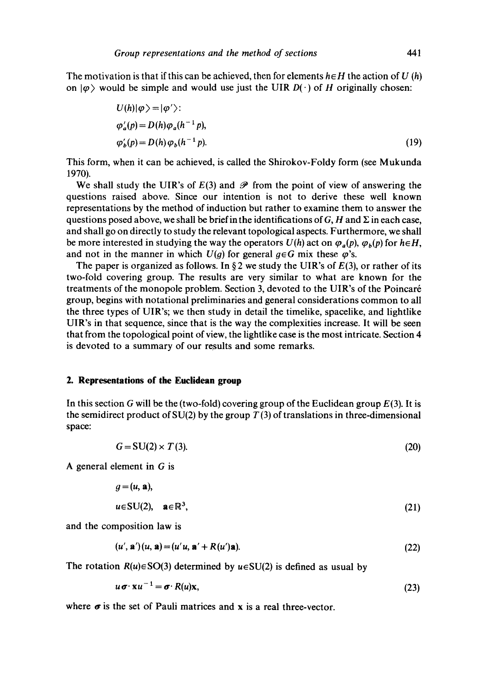The motivation is that if this can be achieved, then for elements  $h \in H$  the action of U (h) on  $|\varphi\rangle$  would be simple and would use just the UIR  $D(\cdot)$  of H originally chosen:

$$
U(h)|\varphi\rangle = |\varphi'\rangle:
$$
  
\n
$$
\varphi_a'(p) = D(h)\varphi_a(h^{-1}p),
$$
  
\n
$$
\varphi_b'(p) = D(h)\varphi_b(h^{-1}p).
$$
\n(19)

This form, when it can be achieved, is called the Shirokov-Foldy form (see Mukunda 1970).

We shall study the UIR's of  $E(3)$  and  $\mathscr P$  from the point of view of answering the questions raised above. Since our intention is not to derive these well known representations by the method of induction but rather to examine them to answer the questions posed above, we shall be brief in the identifications of  $G$ , H and  $\Sigma$  in each case, and shall go on directly to study the relevant topological aspects. Furthermore, we shall be more interested in studying the way the operators  $U(h)$  act on  $\varphi_a(p), \varphi_b(p)$  for  $h \in H$ , and not in the manner in which  $U(q)$  for general  $q \in G$  mix these  $\varphi$ 's.

The paper is organized as follows. In §2 we study the UIR's of  $E(3)$ , or rather of its two-fold covering group. The results are very similar to what are known for the treatments of the monopole problem. Section 3, devoted to the UIR's of the Poincar6 group, begins with notational preliminaries and general considerations common to all the three types of UIR's; we then study in detail the timelike, spacelike, and lightlike UIR's in that sequence, since that is the way the complexities increase. It will be seen that from the topological point of view, the lightlike case is the most intricate. Section 4 is devoted to a summary of our results and some remarks.

# **2. Representations of the Euclidean group**

In this section G will be the (two-fold) covering group of the Euclidean group  $E(3)$ . It is the semidirect product of SU(2) by the group  $T(3)$  of translations in three-dimensional space:

$$
G = SU(2) \times T(3). \tag{20}
$$

A general element in G is

$$
g = (u, \mathbf{a}),
$$
  
\n
$$
u \in SU(2), \quad \mathbf{a} \in \mathbb{R}^3,
$$
\n(21)

and the composition law is

$$
(u', \mathbf{a}') (u, \mathbf{a}) = (u' u, \mathbf{a}' + R(u') \mathbf{a}).
$$
\n(22)

The rotation  $R(u) \in SO(3)$  determined by  $u \in SU(2)$  is defined as usual by

$$
u\sigma \cdot \mathbf{x}u^{-1} = \sigma \cdot R(u)\mathbf{x},\tag{23}
$$

where  $\sigma$  is the set of Pauli matrices and x is a real three-vector.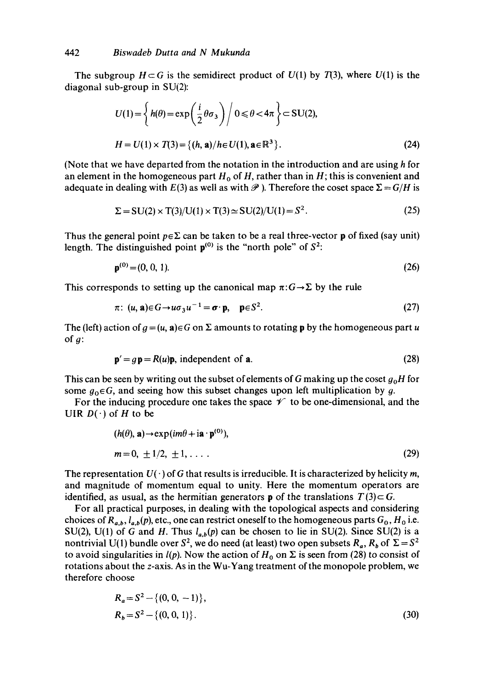The subgroup  $H \subset G$  is the semidirect product of  $U(1)$  by  $T(3)$ , where  $U(1)$  is the diagonal sub-group in SU(2):

$$
U(1) = \left\{ h(\theta) = \exp\left(\frac{i}{2}\theta\sigma_3\right) \middle/ 0 \le \theta < 4\pi \right\} \subset \text{SU}(2),
$$
  
\n
$$
H = U(1) \times T(3) = \left\{ (h, \mathbf{a}) / h \in U(1), \mathbf{a} \in \mathbb{R}^3 \right\}.
$$
 (24)

(Note that we have departed from the notation in the introduction and are using  $h$  for an element in the homogeneous part  $H_0$  of H, rather than in H; this is convenient and adequate in dealing with  $E(3)$  as well as with  $\mathscr P$ ). Therefore the coset space  $\Sigma = G/H$  is

$$
\Sigma = SU(2) \times T(3)/U(1) \times T(3) \simeq SU(2)/U(1) = S^2. \tag{25}
$$

Thus the general point  $p \in \Sigma$  can be taken to be a real three-vector **p** of fixed (say unit) length. The distinguished point  $p^{(0)}$  is the "north pole" of  $S^2$ :

$$
\mathbf{p}^{(0)} = (0, 0, 1). \tag{26}
$$

This corresponds to setting up the canonical map  $\pi:G\to\Sigma$  by the rule

$$
\pi: (u, \mathbf{a}) \in G \to u\sigma_3 u^{-1} = \sigma \cdot \mathbf{p}, \quad \mathbf{p} \in S^2. \tag{27}
$$

The (left) action of  $g = (u, a) \in G$  on  $\Sigma$  amounts to rotating p by the homogeneous part u of  $g$ :

$$
\mathbf{p}' = g\mathbf{p} = R(u)\mathbf{p}, \text{ independent of } \mathbf{a}. \tag{28}
$$

This can be seen by writing out the subset of elements of G making up the coset *go H* for some  $g_0 \in G$ , and seeing how this subset changes upon left multiplication by g.

For the inducing procedure one takes the space  $\mathscr V$  to be one-dimensional, and the UIR  $D(\cdot)$  of H to be

$$
(h(\theta), \mathbf{a}) \to \exp(im\theta + i\mathbf{a} \cdot \mathbf{p}^{(0)}),
$$
  
\n
$$
m = 0, \pm 1/2, \pm 1, \dots
$$
\n(29)

The representation  $U(\cdot)$  of G that results is irreducible. It is characterized by helicity m, and magnitude of momentum equal to unity. Here the momentum operators are identified, as usual, as the hermitian generators **p** of the translations  $T(3) \subset G$ .

For all practical purposes, in dealing with the topological aspects and considering choices of  $R_{a,b}, l_{a,b}(p)$ , etc., one can restrict oneself to the homogeneous parts  $G_0$ ,  $H_0$  i.e. SU(2), U(1) of G and H. Thus  $l_{a,b}(p)$  can be chosen to lie in SU(2). Since SU(2) is a nontrivial U(1) bundle over  $S^2$ , we do need (at least) two open subsets  $R_a$ ,  $R_b$  of  $\Sigma = S^2$ to avoid singularities in  $l(p)$ . Now the action of  $H_0$  on  $\Sigma$  is seen from (28) to consist of rotations about the z-axis. As in the Wu-Yang treatment of the monopole problem, we therefore choose

$$
R_a = S^2 - \{(0, 0, -1)\},\
$$
  
\n
$$
R_b = S^2 - \{(0, 0, 1)\}.
$$
\n(30)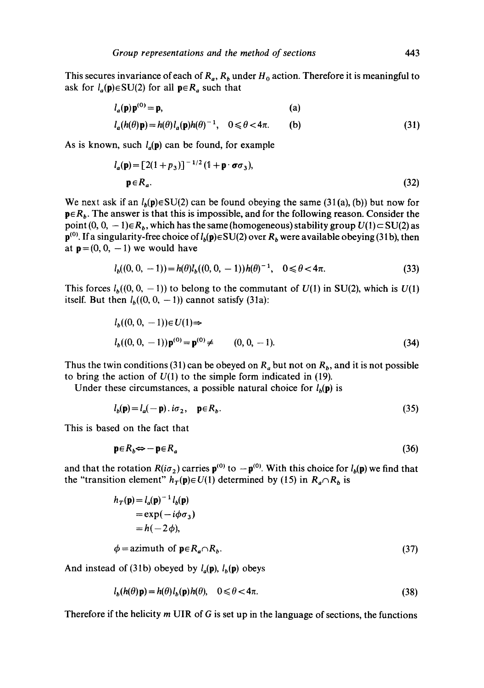This secures invariance of each of  $R_a$ ,  $R_b$  under  $H_0$  action. Therefore it is meaningful to ask for  $l_a(p) \in SU(2)$  for all  $p \in R_a$  such that

$$
l_a(\mathbf{p})\mathbf{p}^{(0)} = \mathbf{p}, \qquad (a)
$$
  

$$
l_a(h(\theta)\mathbf{p}) = h(\theta)l_a(\mathbf{p})h(\theta)^{-1}, \quad 0 \le \theta < 4\pi. \qquad (b)
$$
 (31)

As is known, such  $l_a(p)$  can be found, for example

$$
l_a(\mathbf{p}) = [2(1+p_3)]^{-1/2} (1+\mathbf{p}\cdot\boldsymbol{\sigma}\sigma_3),
$$
  
\n
$$
\mathbf{p} \in R_a.
$$
 (32)

We next ask if an  $l_b(\mathbf{p}) \in SU(2)$  can be found obeying the same (31(a), (b)) but now for  $p \in R_b$ . The answer is that this is impossible, and for the following reason. Consider the point  $(0, 0, -1) \in R_b$ , which has the same (homogeneous) stability group  $U(1) \subset SU(2)$  as  $p^{(0)}$ . If a singularity-free choice of  $l_b(p) \in SU(2)$  over  $R_b$  were available obeying (31b), then at  $p=(0, 0, -1)$  we would have

$$
l_b((0, 0, -1)) = h(\theta)l_b((0, 0, -1))h(\theta)^{-1}, \quad 0 \le \theta < 4\pi. \tag{33}
$$

This forces  $l_b((0, 0, -1))$  to belong to the commutant of  $U(1)$  in SU(2), which is  $U(1)$ itself. But then  $l_b((0, 0, -1))$  cannot satisfy (31a):

$$
l_b((0, 0, -1)) \in U(1) \Rightarrow
$$
  
\n
$$
l_b((0, 0, -1)) \mathbf{p}^{(0)} = \mathbf{p}^{(0)} \neq \qquad (0, 0, -1).
$$
\n(34)

Thus the twin conditions (31) can be obeyed on  $R_a$  but not on  $R_b$ , and it is not possible to bring the action of  $U(1)$  to the simple form indicated in (19).

Under these circumstances, a possible natural choice for  $l_b(\mathbf{p})$  is

$$
l_b(\mathbf{p}) = l_a(-\mathbf{p}) \cdot i\sigma_2, \quad \mathbf{p} \in R_b. \tag{35}
$$

This is based on the fact that

$$
\mathbf{p} \in R_b \Leftrightarrow -\mathbf{p} \in R_a \tag{36}
$$

and that the rotation  $R(i\sigma_2)$  carries  $p^{(0)}$  to  $-p^{(0)}$ . With this choice for  $l_b(p)$  we find that the "transition element"  $h_T(\mathbf{p}) \in U(1)$  determined by (15) in  $R_a \cap R_b$  is

$$
h_T(\mathbf{p}) = l_a(\mathbf{p})^{-1} l_b(\mathbf{p})
$$
  
= exp(-i\phi\sigma\_3)  
= h(-2\phi),  

$$
\phi = \text{azimuth of } \mathbf{p} \in R_a \cap R_b.
$$
 (37)

And instead of (31b) obeyed by  $l_a(\mathbf{p})$ ,  $l_b(\mathbf{p})$  obeys

$$
l_b(h(\theta)\mathbf{p}) = h(\theta)l_b(\mathbf{p})h(\theta), \quad 0 \le \theta < 4\pi.
$$
\n(38)

Therefore if the helicity  $m$  UIR of G is set up in the language of sections, the functions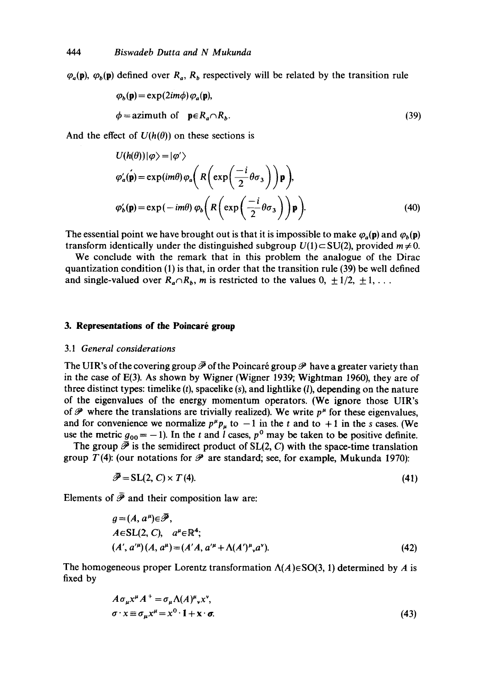$\varphi_a(\mathbf{p})$ ,  $\varphi_b(\mathbf{p})$  defined over  $R_a$ ,  $R_b$  respectively will be related by the transition rule

$$
\varphi_b(\mathbf{p}) = \exp(2im\phi) \varphi_a(\mathbf{p}),
$$
  
\n
$$
\phi = \text{azimuth of } \mathbf{p} \in R_a \cap R_b.
$$
 (39)

And the effect of  $U(h(\theta))$  on these sections is

$$
U(h(\theta))|\varphi\rangle = |\varphi'\rangle
$$
  
\n
$$
\varphi'_a(\mathbf{p}) = \exp(im\theta)\varphi_a\left(R\left(\exp\left(\frac{-i}{2}\theta\sigma_3\right)\right)\mathbf{p}\right),
$$
  
\n
$$
\varphi'_b(\mathbf{p}) = \exp(-im\theta)\varphi_b\left(R\left(\exp\left(\frac{-i}{2}\theta\sigma_3\right)\right)\mathbf{p}\right).
$$
\n(40)

The essential point we have brought out is that it is impossible to make  $\varphi_a(\mathbf{p})$  and  $\varphi_b(\mathbf{p})$ transform identically under the distinguished subgroup  $U(1) \subset SU(2)$ , provided  $m \neq 0$ .

We conclude with the remark that in this problem the analogue of the Dirac quantization condition  $(1)$  is that, in order that the transition rule  $(39)$  be well defined and single-valued over  $R_a \cap R_b$ , m is restricted to the values  $0, \pm 1/2, \pm 1, \ldots$ 

# **3. Representations of the Poincaré group**

#### 3.1 *General considerations*

The UIR's of the covering group  $\overline{\mathscr{P}}$  of the Poincaré group  $\mathscr{P}$  have a greater variety than in the case of E(3). As shown by Wigner (Wigner 1939; Wightman 1960), they are of three distinct types: timelike  $(t)$ , spacelike  $(s)$ , and lightlike  $(l)$ , depending on the nature of the eigenvalues of the energy momentum operators. (We ignore those UIR's of  $\mathscr P$  where the translations are trivially realized). We write  $p^{\mu}$  for these eigenvalues, and for convenience we normalize  $p^{\mu}p_{\mu}$  to  $-1$  in the t and to  $+1$  in the s cases. (We use the metric  $g_{00} = -1$ ). In the t and l cases,  $p^0$  may be taken to be positive definite.

The group  $\overline{\mathscr{P}}$  is the semidirect product of SL(2, C) with the space-time translation group  $T(4)$ : (our notations for  $\mathcal P$  are standard; see, for example, Mukunda 1970):

$$
\bar{\mathcal{P}} = SL(2, C) \times T(4). \tag{41}
$$

Elements of  $\bar{\mathcal{P}}$  and their composition law are:

$$
g = (A, a^{\mu}) \in \overline{\mathcal{P}},
$$
  
\n
$$
A \in SL(2, C), \quad a^{\mu} \in \mathbb{R}^{4};
$$
  
\n
$$
(A', a^{\mu})(A, a^{\mu}) = (A'A, a^{\prime\mu} + \Lambda(A')^{\mu}, a^{\nu}).
$$
\n(42)

The homogeneous proper Lorentz transformation  $\Lambda(A) \in SO(3, 1)$  determined by A is fixed by

$$
A\sigma_{\mu}x^{\mu}A^{+} = \sigma_{\mu}\Lambda(A)^{\mu}_{\nu}x^{\nu},
$$
  
\n
$$
\sigma \cdot x \equiv \sigma_{\mu}x^{\mu} = x^{0} \cdot 1 + x \cdot \sigma.
$$
\n(43)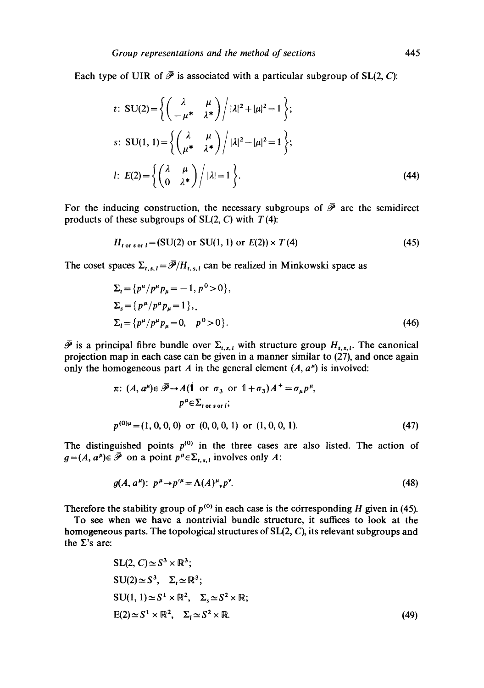Each type of UIR of  $\bar{\mathcal{P}}$  is associated with a particular subgroup of SL(2, C):

$$
t: \text{SU}(2) = \left\{ \left( \begin{array}{cc} \lambda & \mu \\ -\mu^* & \lambda^* \end{array} \right) / |\lambda|^2 + |\mu|^2 = 1 \right\};
$$
  

$$
s: \text{SU}(1, 1) = \left\{ \left( \begin{array}{cc} \lambda & \mu \\ \mu^* & \lambda^* \end{array} \right) / |\lambda|^2 - |\mu|^2 = 1 \right\};
$$
  

$$
l: E(2) = \left\{ \left( \begin{array}{cc} \lambda & \mu \\ 0 & \lambda^* \end{array} \right) / |\lambda| = 1 \right\}.
$$
 (44)

For the inducing construction, the necessary subgroups of  $\overline{\mathscr{P}}$  are the semidirect products of these subgroups of  $SL(2, C)$  with  $T(4)$ :

$$
H_{t \text{ or } s \text{ or } t} = (SU(2) \text{ or } SU(1, 1) \text{ or } E(2)) \times T(4)
$$
 (45)

The coset spaces  $\Sigma_{t,s,l} = \overline{\mathcal{P}}/H_{t,s,l}$  can be realized in Minkowski space as

$$
\Sigma_{t} = \{p^{\mu}/p^{\mu}p_{\mu} = -1, p^{0} > 0\},
$$
  
\n
$$
\Sigma_{s} = \{p^{\mu}/p^{\mu}p_{\mu} = 1\},
$$
  
\n
$$
\Sigma_{t} = \{p^{\mu}/p^{\mu}p_{\mu} = 0, p^{0} > 0\}.
$$
\n(46)

 $\bar{\mathcal{P}}$  is a principal fibre bundle over  $\Sigma_{t,s,t}$  with structure group  $H_{t,s,t}$ . The canonical projection map in each case can be given in a manner similar to (27), and once again only the homogeneous part A in the general element  $(A, a^{\mu})$  is involved:

$$
\pi: (A, a^{\mu}) \in \mathscr{P} \to A(1 \text{ or } \sigma_3 \text{ or } 1 + \sigma_3)A^+ = \sigma_{\mu} p^{\mu},
$$
  
\n
$$
p^{\mu} \in \Sigma_{torsor i};
$$
  
\n
$$
p^{(0)\mu} = (1, 0, 0, 0, 0) \text{ or } (0, 0, 0, 1) \text{ or } (1, 0, 0, 1).
$$
 (47)

The distinguished points  $p^{(0)}$  in the three cases are also listed. The action of  $g=(A, a^{\mu})\in \bar{\mathscr{P}}$  on a point  $p^{\mu}\in \Sigma_{t,s,l}$  involves only A:

$$
g(A, a^{\mu}): p^{\mu} \to p^{\prime \mu} = \Lambda(A)^{\mu}{}_{\nu} p^{\nu}.
$$
 (48)

Therefore the stability group of  $p^{(0)}$  in each case is the corresponding H given in (45).

To see when we have a nontrivial bundle structure, it suffices to look at the homogeneous parts. The topological structures of  $SL(2, C)$ , its relevant subgroups and the  $\Sigma$ 's are:

$$
SL(2, C) \simeq S^3 \times \mathbb{R}^3;
$$
  
\n
$$
SU(2) \simeq S^3, \quad \Sigma_t \simeq \mathbb{R}^3;
$$
  
\n
$$
SU(1, 1) \simeq S^1 \times \mathbb{R}^2, \quad \Sigma_s \simeq S^2 \times \mathbb{R};
$$
  
\n
$$
E(2) \simeq S^1 \times \mathbb{R}^2, \quad \Sigma_t \simeq S^2 \times \mathbb{R}.
$$
  
\n(49)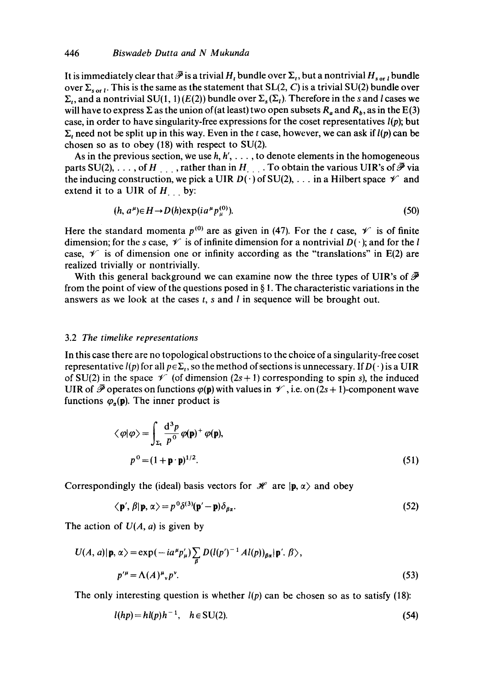It is immediately clear that  $\bar{\mathcal{P}}$  is a trivial  $H_t$  bundle over  $\Sigma_t$ , but a nontrivial  $H_{sort}$  bundle over  $\Sigma_{\text{sort}}$ . This is the same as the statement that SL(2, C) is a trivial SU(2) bundle over  $\Sigma_t$ , and a nontrivial SU(1, 1) (E(2)) bundle over  $\Sigma_s(\Sigma_t)$ . Therefore in the s and l cases we will have to express  $\Sigma$  as the union of (at least) two open subsets  $R_a$  and  $R_b$ , as in the E(3) case, in order to have singularity-free expressions for the coset representatives  $l(p)$ ; but  $\Sigma_t$ , need not be split up in this way. Even in the t case, however, we can ask if  $l(p)$  can be chosen so as to obey  $(18)$  with respect to SU $(2)$ .

As in the previous section, we use  $h, h', \ldots$ , to denote elements in the homogeneous parts SU(2), ..., of H<sub>rota</sub>, rather than in H<sub>rota</sub>. To obtain the various UIR's of  $\bar{\mathcal{P}}$  via the inducing construction, we pick a UIR  $D(\cdot)$  of SU(2), ... in a Hilbert space  $\mathscr V$  and extend it to a UIR of  $H_{\perp}$  by:

$$
(h, a^{\mu}) \in H \to D(h) \exp(ia^{\mu} p_{\mu}^{(0)}). \tag{50}
$$

Here the standard momenta  $p^{(0)}$  are as given in (47). For the t case,  $\mathscr V$  is of finite dimension; for the s case,  $\mathcal V$  is of infinite dimension for a nontrivial  $D(\cdot)$ ; and for the l case,  $\mathscr V$  is of dimension one or infinity according as the "translations" in E(2) are realized trivially or nontrivially.

With this general background we can examine now the three types of UIR's of  $\tilde{\mathcal{P}}$ from the point of view of the questions posed in  $\S 1$ . The characteristic variations in the answers as we look at the cases  $t$ , s and  $l$  in sequence will be brought out.

## 3.2 *The timelike representations*

In this case there are no topological obstructions to the choice of a singularity-free coset representative  $l(p)$  for all  $p \in \Sigma_t$ , so the method of sections is unnecessary. If  $D(\cdot)$  is a UIR of SU(2) in the space  $\mathscr V$  (of dimension (2s+1) corresponding to spin s), the induced UIR of  $\overline{\mathcal{P}}$  operates on functions  $\varphi(\mathbf{p})$  with values in  $\mathcal{V}$ , i.e. on (2s + 1)-component wave functions  $\varphi_{\alpha}(\mathbf{p})$ . The inner product is

$$
\langle \varphi | \varphi \rangle = \int_{\Sigma_{\mathbf{t}}} \frac{d^3 p}{p^0} \varphi(\mathbf{p})^+ \varphi(\mathbf{p}),
$$
  
\n
$$
p^0 = (1 + \mathbf{p} \cdot \mathbf{p})^{1/2}.
$$
\n(51)

Correspondingly the (ideal) basis vectors for  $\mathcal{H}$  are  $|{\bf p}, \alpha \rangle$  and obey

$$
\langle \mathbf{p}', \beta | \mathbf{p}, \alpha \rangle = p^0 \delta^{(3)} (\mathbf{p}' - \mathbf{p}) \delta_{\beta \alpha}.
$$
 (52)

The action of  $U(A, a)$  is given by

$$
U(A, a)|\mathbf{p}, \alpha\rangle = \exp(-ia^{\mu}p_{\mu}')\sum_{\beta} D(l(p')^{-1}Al(p))_{\beta\alpha}|\mathbf{p}', \beta\rangle,
$$
  

$$
p'^{\mu} = \Lambda(A)^{\mu}{}_{\nu}p^{\nu}.
$$
 (53)

The only interesting question is whether  $l(p)$  can be chosen so as to satisfy (18):

$$
l(hp) = hl(p)h^{-1}, \quad h \in SU(2). \tag{54}
$$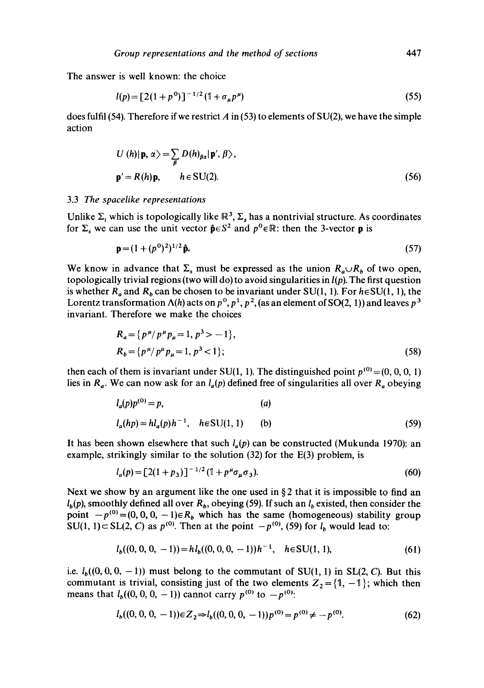The answer is well known: the choice

$$
l(p) = [2(1+p^{0})]^{-1/2}(\mathbb{1} + \sigma_{\mu}p^{\mu})
$$
\n(55)

does fulfil (54). Therefore if we restrict A in (53) to elements of  $SU(2)$ , we have the simple action

$$
U(h)|\mathbf{p}, \alpha\rangle = \sum_{\beta} D(h)_{\beta\alpha} |\mathbf{p}', \beta\rangle,
$$
  

$$
\mathbf{p}' = R(h)\mathbf{p}, \qquad h \in \text{SU}(2).
$$
 (56)

## 3.3 *The spacelike representations*

Unlike  $\Sigma_t$  which is topologically like  $\mathbb{R}^3$ ,  $\Sigma_s$  has a nontrivial structure. As coordinates for  $\Sigma_s$  we can use the unit vector  $\hat{\mathbf{p}} \in S^2$  and  $p^0 \in \mathbb{R}$ : then the 3-vector **p** is

$$
\mathbf{p} = (1 + (p^0)^2)^{1/2} \hat{\mathbf{p}}.\tag{57}
$$

We know in advance that  $\Sigma_s$  must be expressed as the union  $R_a \cup R_b$  of two open, topologically trivial regions (two will do) to avoid singularities in *l(p).* The first question is whether  $R_a$  and  $R_b$  can be chosen to be invariant under SU(1, 1). For  $h \in SU(1, 1)$ , the Lorentz transformation  $\Lambda(h)$  acts on  $p^0$ ,  $p^1$ ,  $p^2$ , (as an element of SO(2, 1)) and leaves  $p^3$ invariant. Therefore we make the choices

$$
R_a = \{ p^{\mu} / p^{\mu} p_{\mu} = 1, p^3 > -1 \},
$$
  
\n
$$
R_b = \{ p^{\mu} / p^{\mu} p_{\mu} = 1, p^3 < 1 \};
$$
\n(58)

then each of them is invariant under SU(1, 1). The distinguished point  $p^{(0)} = (0, 0, 0, 1)$ lies in  $R_a$ . We can now ask for an  $l_a(p)$  defined free of singularities all over  $R_a$  obeying

$$
l_a(p)p^{(0)} = p,
$$
\n(a)  
\n
$$
l_a(hp) = hl_a(p)h^{-1}, \quad h \in SU(1, 1)
$$
\n(b) (59)

It has been shown elsewhere that such  $l_a(p)$  can be constructed (Mukunda 1970): an example, strikingly similar to the solution (32) for the E(3) problem, is

$$
l_a(p) = [2(1+p_3)]^{-1/2} (1+p^{\mu} \sigma_{\mu} \sigma_3). \tag{60}
$$

Next we show by an argument like the one used in  $\S 2$  that it is impossible to find an  $l_b(p)$ , smoothly defined all over  $R_b$ , obeying (59). If such an  $l_b$  existed, then consider the point  $-p^{(0)} = (0, 0, 0, -1) \in R_b$  which has the same (homogeneous) stability group  $SU(1, 1) \subset SL(2, C)$  as  $p^{(0)}$ . Then at the point  $-p^{(0)}$ , (59) for *I<sub>b</sub>* would lead to:

$$
l_b((0, 0, 0, -1)) = h l_b((0, 0, 0, -1))h^{-1}, \quad h \in SU(1, 1), \tag{61}
$$

i.e.  $l_b((0, 0, 0, -1))$  must belong to the commutant of SU(1, 1) in SL(2, C). But this commutant is trivial, consisting just of the two elements  $Z_2 = \{1, -1\}$ ; which then means that  $l_b((0, 0, 0, -1))$  cannot carry  $p^{(0)}$  to  $-p^{(0)}$ .

$$
l_b((0, 0, 0, -1)) \in Z_2 \Rightarrow l_b((0, 0, 0, -1)) p^{(0)} = p^{(0)} \neq -p^{(0)}.
$$
 (62)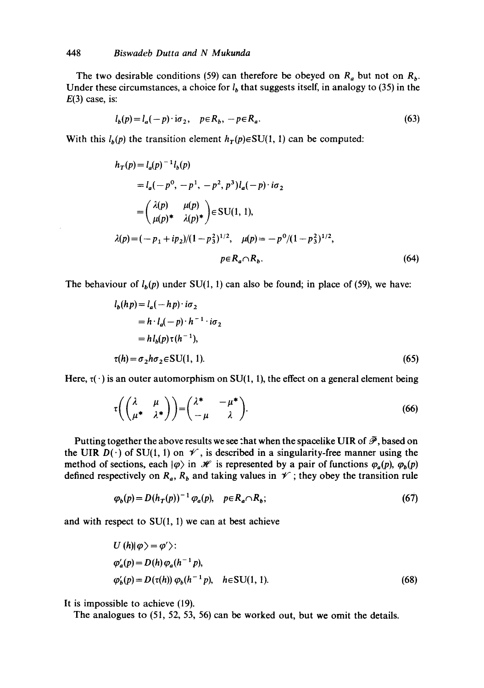$\bar{z}$ 

The two desirable conditions (59) can therefore be obeyed on  $R_a$  but not on  $R_b$ . Under these circumstances, a choice for  $l<sub>b</sub>$  that suggests itself, in analogy to (35) in the  $E(3)$  case, is:

$$
l_b(p) = l_a(-p) \cdot i\sigma_2, \quad p \in R_b, \ -p \in R_a. \tag{63}
$$

With this  $l_b(p)$  the transition element  $h_T(p) \in SU(1, 1)$  can be computed:

$$
h_T(p) = l_a(p)^{-1}l_b(p)
$$
  
=  $l_a(-p^0, -p^1, -p^2, p^3)l_a(-p) \cdot i\sigma_2$   
=  $\begin{pmatrix} \lambda(p) & \mu(p) \\ \mu(p)^* & \lambda(p)^* \end{pmatrix} \in SU(1, 1),$   
 $\lambda(p) = (-p_1 + ip_2)/(1 - p_3^2)^{1/2}, \quad \mu(p) = -p^0/(1 - p_3^2)^{1/2},$   
 $p \in R_a \cap R_b.$  (64)

The behaviour of  $l_b(p)$  under SU(1, 1) can also be found; in place of (59), we have:

$$
l_b(hp) = l_a(-h p) \cdot i\sigma_2
$$
  
=  $h \cdot l_a(-p) \cdot h^{-1} \cdot i\sigma_2$   
=  $h l_b(p) \tau(h^{-1}),$   
 $\tau(h) = \sigma_2 h \sigma_2 \in SU(1, 1).$  (65)

Here,  $\tau(\cdot)$  is an outer automorphism on SU(1, 1), the effect on a general element being

$$
\tau\left(\begin{pmatrix} \lambda & \mu \\ \mu^* & \lambda^* \end{pmatrix}\right) = \begin{pmatrix} \lambda^* & -\mu^* \\ -\mu & \lambda \end{pmatrix}.
$$
 (66)

Putting together the above results we see that when the spacelike UIR of  $\mathscr{P}$ , based on the UIR  $D(\cdot)$  of SU(1, 1) on  $\mathscr V$ , is described in a singularity-free manner using the method of sections, each  $|\varphi\rangle$  in  $\mathcal H$  is represented by a pair of functions  $\varphi_a(p), \varphi_b(p)$ defined respectively on  $R_a$ ,  $R_b$  and taking values in  $\mathscr V$ ; they obey the transition rule

$$
\varphi_b(p) = D(h_T(p))^{-1} \varphi_a(p), \quad p \in R_a \cap R_b; \tag{67}
$$

and with respect to  $SU(1, 1)$  we can at best achieve

$$
U(h)|\varphi\rangle = \varphi'\rangle:
$$
  
\n
$$
\varphi_a'(p) = D(h)\varphi_a(h^{-1}p),
$$
  
\n
$$
\varphi_b'(p) = D(\tau(h))\varphi_b(h^{-1}p), \quad h \in SU(1, 1).
$$
\n(68)

It is impossible to achieve (19).

The analogues to (51, 52, 53, 56) can be worked out, but we omit the details.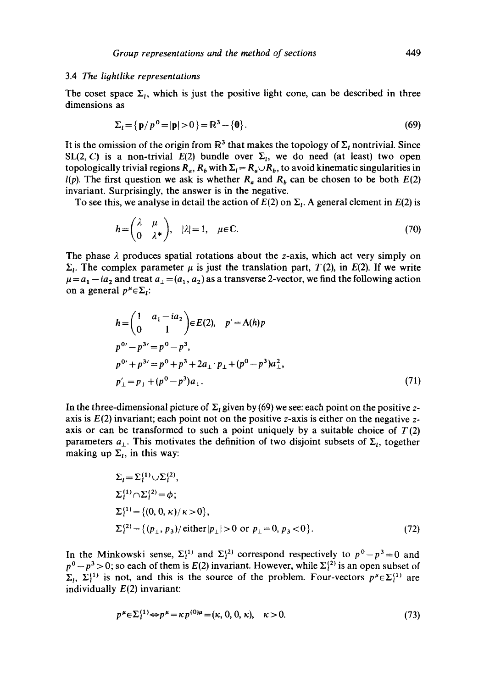#### 3.4 *The lightlike representations*

The coset space  $\Sigma_i$ , which is just the positive light cone, can be described in three dimensions as

$$
\Sigma_t = \{ \mathbf{p}/p^0 = |\mathbf{p}| > 0 \} = \mathbb{R}^3 - \{ \mathbf{0} \}. \tag{69}
$$

It is the omission of the origin from  $\mathbb{R}^3$  that makes the topology of  $\Sigma_t$  nontrivial. Since SL(2, C) is a non-trivial  $E(2)$  bundle over  $\Sigma$ <sub>1</sub>, we do need (at least) two open topologically trivial regions  $R_a$ ,  $R_b$  with  $\Sigma_l = R_a \cup R_b$ , to avoid kinematic singularities in *l(p)*. The first question we ask is whether  $R_a$  and  $R_b$  can be chosen to be both  $E(2)$ invariant. Surprisingly, the answer is in the negative.

To see this, we analyse in detail the action of  $E(2)$  on  $\Sigma_t$ . A general element in  $E(2)$  is

$$
h = \begin{pmatrix} \lambda & \mu \\ 0 & \lambda^* \end{pmatrix}, \quad |\lambda| = 1, \quad \mu \in \mathbb{C}.\tag{70}
$$

The phase  $\lambda$  produces spatial rotations about the z-axis, which act very simply on  $\Sigma_t$ . The complex parameter  $\mu$  is just the translation part,  $T(2)$ , in E(2). If we write  $\mu = a_1 - ia_2$  and treat  $a_1 = (a_1, a_2)$  as a transverse 2-vector, we find the following action on a general  $p^{\mu} \in \Sigma_i$ :

$$
h = {1 \t a_1 - ia_2 \t b E(2), \t p' = A(h)p
$$
  
\n
$$
p^{0'} - p^{3'} = p^0 - p^3,
$$
  
\n
$$
p^{0'} + p^{3'} = p^0 + p^3 + 2a_1 \cdot p_1 + (p^0 - p^3)a_1^2,
$$
  
\n
$$
p'_\perp = p_\perp + (p^0 - p^3)a_1.
$$
\n(71)

In the three-dimensional picture of  $\Sigma_t$  given by (69) we see: each point on the positive zaxis is  $E(2)$  invariant; each point not on the positive z-axis is either on the negative zaxis or can be transformed to such a point uniquely by a suitable choice of  $T(2)$ parameters  $a_{\perp}$ . This motivates the definition of two disjoint subsets of  $\Sigma_i$ , together making up  $\Sigma_t$ , in this way:

$$
\Sigma_{l} = \Sigma_{l}^{(1)} \cup \Sigma_{l}^{(2)},
$$
  
\n
$$
\Sigma_{l}^{(1)} \cap \Sigma_{l}^{(2)} = \phi;
$$
  
\n
$$
\Sigma_{l}^{(1)} = \{(0, 0, \kappa) / \kappa > 0\},
$$
  
\n
$$
\Sigma_{l}^{(2)} = \{(p_{\perp}, p_{3}) / \text{either } |p_{\perp}| > 0 \text{ or } p_{\perp} = 0, p_{3} < 0\}.
$$
 (72)

In the Minkowski sense,  $\Sigma_1^{(1)}$  and  $\Sigma_1^{(2)}$  correspond respectively to  $p^0 - p^3 = 0$  and  $p^{0}-p^{3}>0$ ; so each of them is  $E(2)$  invariant. However, while  $\Sigma_{i}^{(2)}$  is an open subset of  $\Sigma_l$ ,  $\Sigma_l^{(1)}$  is not, and this is the source of the problem. Four-vectors  $p^{\mu} \in \Sigma_l^{(1)}$  are individually  $E(2)$  invariant:

$$
p^{\mu} \in \Sigma_1^{(1)} \Leftrightarrow p^{\mu} = \kappa p^{(0)\mu} = (\kappa, 0, 0, \kappa), \quad \kappa > 0. \tag{73}
$$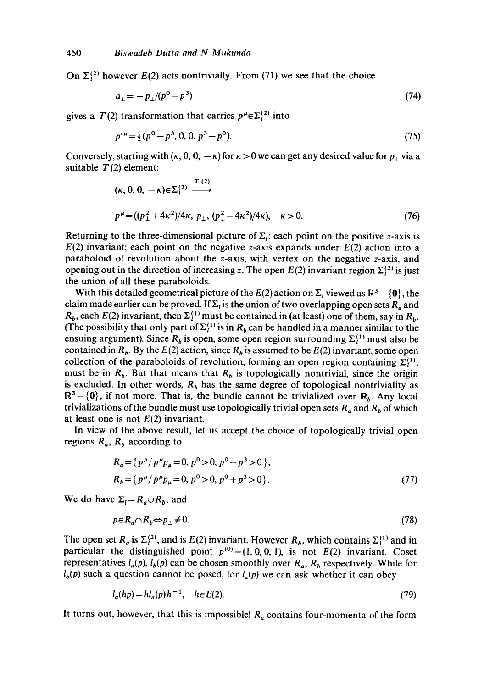On  $\Sigma^{(2)}_l$  however  $E(2)$  acts nontrivially. From (71) we see that the choice

$$
a_{\perp} = -p_{\perp}/(p^0 - p^3) \tag{74}
$$

gives a  $T(2)$  transformation that carries  $p^{\mu} \in \Sigma^{(2)}$  into

$$
p'^{\mu} = \frac{1}{2}(p^0 - p^3, 0, 0, p^3 - p^0). \tag{75}
$$

Conversely, starting with  $(\kappa, 0, 0, -\kappa)$  for  $\kappa > 0$  we can get any desired value for  $p_+$  via a suitable  $T(2)$  element:

$$
(\kappa, 0, 0, -\kappa) \in \Sigma_1^{(2)} \xrightarrow{T (2)}
$$
  

$$
p^{\mu} = ((p_1^2 + 4\kappa^2)/4\kappa, p_\perp, (p_1^2 - 4\kappa^2)/4\kappa), \kappa > 0.
$$
 (76)

Returning to the three-dimensional picture of  $\Sigma_i$ : each point on the positive z-axis is  $E(2)$  invariant; each point on the negative z-axis expands under  $E(2)$  action into a paraboloid of revolution about the z-axis, with vertex on the negative z-axis, and opening out in the direction of increasing z. The open  $E(2)$  invariant region  $\Sigma_1^{(2)}$  is just the union of all these paraboloids.

With this detailed geometrical picture of the  $E(2)$  action on  $\Sigma_t$  viewed as  $\mathbb{R}^3 - \{0\}$ , the claim made earlier can be proved. If  $\Sigma_i$  is the union of two overlapping open sets  $R_a$  and  $R_b$ , each  $E(2)$  invariant, then  $\Sigma_1^{(1)}$  must be contained in (at least) one of them, say in  $R_b$ . (The possibility that only part of  $\Sigma_i^{(1)}$  is in  $R_b$  can be handled in a manner similar to the ensuing argument). Since  $R_b$  is open, some open region surrounding  $\Sigma_l^{(1)}$  must also be contained in  $R_b$ . By the  $E(2)$  action, since  $R_b$  is assumed to be  $E(2)$  invariant, some open collection of the paraboloids of revolution, forming an open region containing  $\Sigma_i^{(1)}$ , must be in  $R_b$ . But that means that  $R_b$  is topologically nontrivial, since the origin is excluded. In other words,  $R_b$  has the same degree of topological nontriviality as  $\mathbb{R}^3$  – {0}, if not more. That is, the bundle cannot be trivialized over  $\mathbb{R}_b$ . Any local trivializations of the bundle must use topologically trivial open sets  $R_a$  and  $R_b$  of which at least one is not  $E(2)$  invariant.

In view of the above result, let us accept the choice of topologically trivial open regions  $R_a$ ,  $R_b$  according to

$$
R_a = \{ p^{\mu} / p^{\mu} p_{\mu} = 0, p^0 > 0, p^0 - p^3 > 0 \},
$$
  
\n
$$
R_b = \{ p^{\mu} / p^{\mu} p_{\mu} = 0, p^0 > 0, p^0 + p^3 > 0 \}.
$$
\n(77)

We do have  $\Sigma_l = R_a \cup R_b$ , and

$$
p \in R_a \cap R_b \Leftrightarrow p_\perp \neq 0. \tag{78}
$$

The open set  $R_a$  is  $\Sigma^{(2)}_l$ , and is  $E(2)$  invariant. However  $R_b$ , which contains  $\Sigma^{(1)}_l$  and in particular the distinguished point  $p^{(0)} = (1, 0, 0, 1)$ , is not  $E(2)$  invariant. Coset representatives  $l_a(p)$ ,  $l_b(p)$  can be chosen smoothly over  $R_a$ ,  $R_b$  respectively. While for  $l_b(p)$  such a question cannot be posed, for  $l_a(p)$  we can ask whether it can obey

$$
l_a(hp) = hl_a(p)h^{-1}, \quad h \in E(2). \tag{79}
$$

It turns out, however, that this is impossible!  $R_a$  contains four-momenta of the form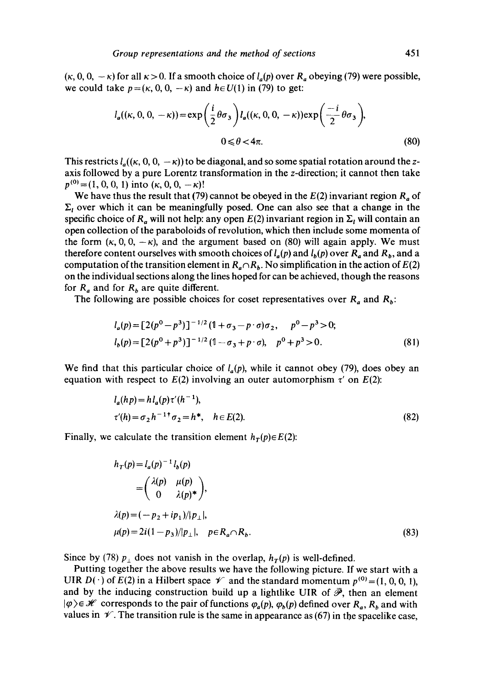$(\kappa, 0, 0, -\kappa)$  for all  $\kappa > 0$ . If a smooth choice of  $l_a(p)$  over  $R_a$  obeying (79) were possible, we could take  $p=(\kappa, 0, 0, -\kappa)$  and  $h \in U(1)$  in (79) to get:

$$
l_a((\kappa, 0, 0, -\kappa)) = \exp\left(\frac{i}{2}\theta\sigma_3\right)l_a((\kappa, 0, 0, -\kappa))\exp\left(\frac{-i}{2}\theta\sigma_3\right),
$$
  
0  $\leq \theta < 4\pi.$  (80)

This restricts  $l_a((\kappa, 0, 0, -\kappa))$  to be diagonal, and so some spatial rotation around the zaxis followed by a pure Lorentz transformation in the z-direction; it cannot then take  $p^{(0)}=(1, 0, 0, 1)$  into  $(\kappa, 0, 0, -\kappa)!$ 

We have thus the result that (79) cannot be obeyed in the  $E(2)$  invariant region  $R_a$  of  $\Sigma_t$  over which it can be meaningfully posed. One can also see that a change in the specific choice of  $R_a$  will not help: any open  $E(2)$  invariant region in  $\Sigma_t$  will contain an open collection of the paraboloids of revolution, which then include some momenta of the form  $(\kappa, 0, 0, -\kappa)$ , and the argument based on (80) will again apply. We must therefore content ourselves with smooth choices of  $l_a(p)$  and  $l_b(p)$  over  $R_a$  and  $R_b$ , and a computation of the transition element in  $R_a \cap R_b$ . No simplification in the action of  $E(2)$ on the individual sections along the lines hoped for can be achieved, though the reasons for  $R_a$  and for  $R_b$  are quite different.

The following are possible choices for coset representatives over  $R_a$  and  $R_b$ :

$$
l_a(p) = [2(p^0 - p^3)]^{-1/2} (1 + \sigma_3 - p \cdot \sigma) \sigma_2, \quad p^0 - p^3 > 0;
$$
  
\n
$$
l_b(p) = [2(p^0 + p^3)]^{-1/2} (1 - \sigma_3 + p \cdot \sigma), \quad p^0 + p^3 > 0.
$$
\n(81)

We find that this particular choice of  $l_a(p)$ , while it cannot obey (79), does obey an equation with respect to  $E(2)$  involving an outer automorphism  $\tau'$  on  $E(2)$ :

$$
l_a(hp) = h l_a(p) \tau'(h^{-1}),
$$
  
\n
$$
\tau'(h) = \sigma_2 h^{-1 \dagger} \sigma_2 = h^*, \quad h \in E(2).
$$
\n(82)

Finally, we calculate the transition element  $h_T(p) \in E(2)$ :

$$
h_T(p) = l_a(p)^{-1} l_b(p)
$$
  
=  $\begin{pmatrix} \lambda(p) & \mu(p) \\ 0 & \lambda(p)^* \end{pmatrix}$ ,  

$$
\lambda(p) = (-p_2 + ip_1)/|p_\perp|,
$$
  

$$
\mu(p) = 2i(1-p_3)/|p_\perp|, \quad p \in R_a \cap R_b.
$$
 (83)

Since by (78)  $p_{\perp}$  does not vanish in the overlap,  $h_T(p)$  is well-defined.

Putting together the above results we have the following picture. If we start with a UIR  $D(\cdot)$  of  $E(2)$  in a Hilbert space  $\mathscr V$  and the standard momentum  $p^{(0)} = (1, 0, 0, 1)$ , and by the inducing construction build up a lightlike UIR of  $\bar{\mathcal{P}}$ , then an element  $|\varphi\rangle \in \mathcal{H}$  corresponds to the pair of functions  $\varphi_a(p), \varphi_b(p)$  defined over  $R_a, R_b$  and with values in  $\mathcal V$ . The transition rule is the same in appearance as (67) in the spacelike case,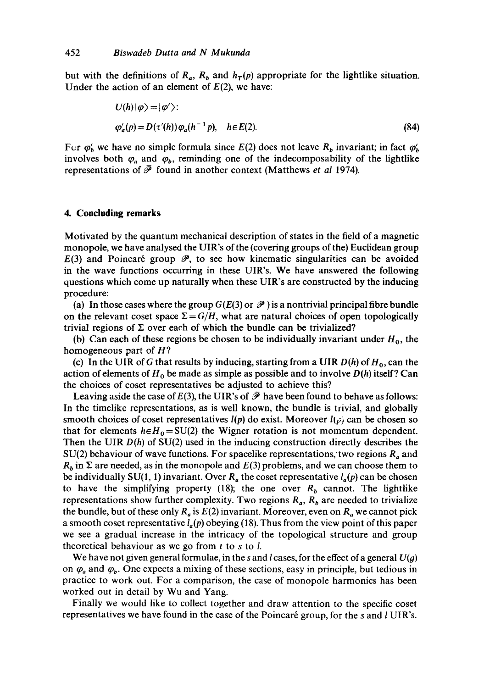but with the definitions of  $R_a$ ,  $R_b$  and  $h_T(p)$  appropriate for the lightlike situation. Under the action of an element of  $E(2)$ , we have:

$$
U(h)|\varphi\rangle = |\varphi'\rangle:
$$
  
\n
$$
\varphi'_a(p) = D(\tau'(h))\varphi_a(h^{-1}p), \quad h \in E(2).
$$
\n(84)

For  $\varphi'_h$  we have no simple formula since  $E(2)$  does not leave  $R_b$  invariant; in fact  $\varphi'_b$ involves both  $\varphi_a$  and  $\varphi_b$ , reminding one of the indecomposability of the lightlike representations of  $\overline{\mathcal{P}}$  found in another context (Matthews *et al 1974*).

### **4. Concluding remarks**

Motivated by the quantum mechanical description of states in the field of a magnetic monopole, we have analysed the UIR's of the (covering groups of the) Euclidean group  $E(3)$  and Poincaré group  $\mathscr{P}$ , to see how kinematic singularities can be avoided in the wave functions occurring in these UIR's. We have answered the following questions which come up naturally when these UIR's are constructed by the inducing procedure:

(a) In those cases where the group  $G(E(3))$  or  $\mathscr P$  ) is a nontrivial principal fibre bundle on the relevant coset space  $\Sigma = G/H$ , what are natural choices of open topologically trivial regions of  $\Sigma$  over each of which the bundle can be trivialized?

(b) Can each of these regions be chosen to be individually invariant under  $H_0$ , the homogeneous part of  $H$ ?

(c) In the UIR of G that results by inducing, starting from a UIR  $D(h)$  of  $H_0$ , can the action of elements of  $H_0$  be made as simple as possible and to involve  $D(h)$  itself? Can the choices of coset representatives be adjusted to achieve this?

Leaving aside the case of  $E(3)$ , the UIR's of  $\overline{\mathscr{P}}$  have been found to behave as follows: In the timelike representations, as is well known, the bundle is trivial, and globally smooth choices of coset representatives  $l(p)$  do exist. Moreover  $l(p)$  can be chosen so that for elements  $h \in H_0 = SU(2)$  the Wigner rotation is not momentum dependent. Then the UIR *D(h)* of SU(2) used in the inducing construction directly describes the  $SU(2)$  behaviour of wave functions. For spacelike representations, two regions  $R_a$  and  $R_b$  in  $\Sigma$  are needed, as in the monopole and  $E(3)$  problems, and we can choose them to be individually SU(1, 1) invariant. Over  $R_a$  the coset representative  $l_a(p)$  can be chosen to have the simplifying property (18); the one over  $R<sub>b</sub>$  cannot. The lightlike representations show further complexity. Two regions  $R_a$ ,  $R_b$  are needed to trivialize the bundle, but of these only  $R_a$  is  $E(2)$  invariant. Moreover, even on  $R_a$  we cannot pick a smooth coset representative  $l_a(p)$  obeying (18). Thus from the view point of this paper we see a gradual increase in the intricacy of the topological structure and group theoretical behaviour as we go from  $t$  to  $s$  to  $l$ .

We have not given general formulae, in the s and l cases, for the effect of a general  $U(g)$ on  $\varphi_a$  and  $\varphi_b$ . One expects a mixing of these sections, easy in principle, but tedious in practice to work out. For a comparison, the case of monopole harmonics has been worked out in detail by Wu and Yang.

Finally we would like to collect together and draw attention to the specific coset representatives we have found in the case of the Poincaré group, for the s and  $l$  UIR's.